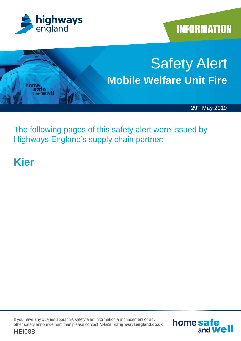

**INFORMATION** 

home safe

and **Well** 



The following pages of this safety alert were issued by Highways England's supply chain partner:

## **Kier**

If you have any queries about this safety alert information announcement or any other safety announcement then please contact **NH&ST@highwaysengland.co.uk**